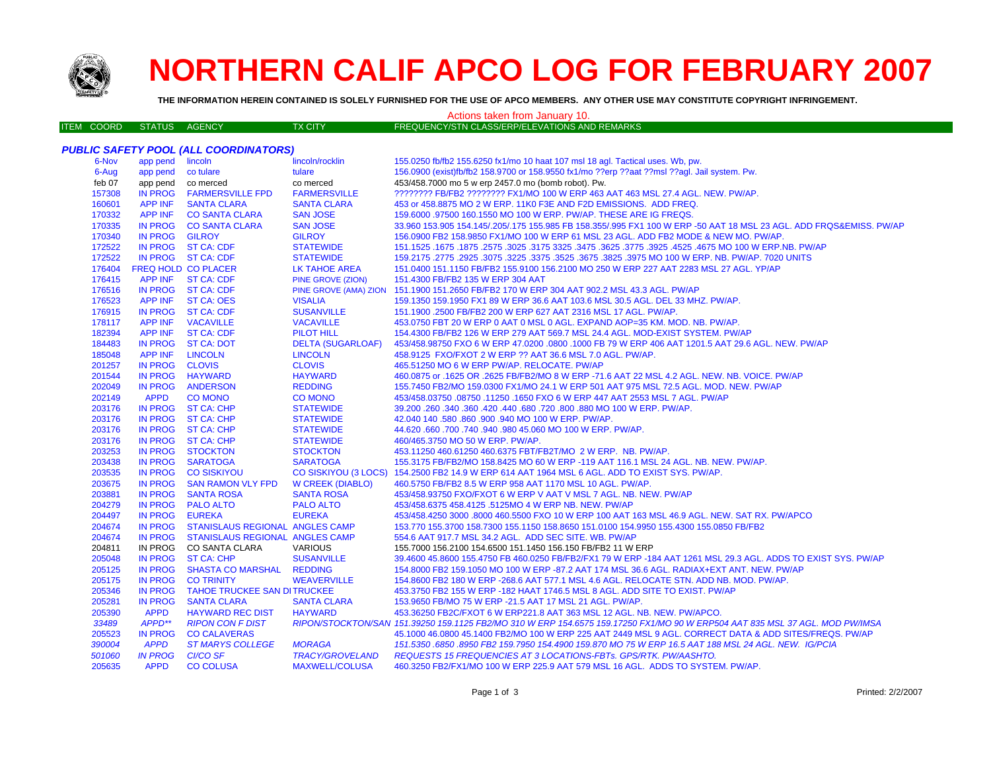

# **NORTHERN CALIF APCO LOG FOR FEBRUARY 2007**

**THE INFORMATION HEREIN CONTAINED IS SOLELY FURNISHED FOR THE USE OF APCO MEMBERS. ANY OTHER USE MAY CONSTITUTE COPYRIGHT INFRINGEMENT.**

# Actions taken from January 10.

| ITEM COORD STATUS AGENCY |  |  | TX CITY | FREQUENCY/STN CLASS/ERP/ELEVATIONS AND REMARKS |
|--------------------------|--|--|---------|------------------------------------------------|
|--------------------------|--|--|---------|------------------------------------------------|

|        |                    | <b>PUBLIC SAFETY POOL (ALL COORDINATORS)</b> |                          |                                                                                                                              |
|--------|--------------------|----------------------------------------------|--------------------------|------------------------------------------------------------------------------------------------------------------------------|
| 6-Nov  | app pend lincoln   |                                              | lincoln/rocklin          | 155.0250 fb/fb2 155.6250 fx1/mo 10 haat 107 msl 18 agl. Tactical uses. Wb, pw.                                               |
| 6-Aug  | app pend co tulare |                                              | tulare                   | 156.0900 (exist)fb/fb2 158.9700 or 158.9550 fx1/mo ??erp ??aat ??msl ??agl. Jail system. Pw.                                 |
| feb 07 | app pend co merced |                                              | co merced                | 453/458.7000 mo 5 w erp 2457.0 mo (bomb robot). Pw.                                                                          |
| 157308 |                    | IN PROG FARMERSVILLE FPD                     | <b>FARMERSVILLE</b>      | ???????? FB/FB2 ???????? FX1/MO 100 W ERP 463 AAT 463 MSL 27.4 AGL, NEW, PW/AP,                                              |
| 160601 | APP INF            | <b>SANTA CLARA</b>                           | <b>SANTA CLARA</b>       | 453 or 458.8875 MO 2 W ERP. 11K0 F3E AND F2D EMISSIONS. ADD FREQ.                                                            |
| 170332 |                    | APP INF CO SANTA CLARA                       | <b>SAN JOSE</b>          | 159,6000 .97500 160.1550 MO 100 W ERP. PW/AP. THESE ARE IG FREQS.                                                            |
| 170335 |                    | IN PROG CO SANTA CLARA                       | <b>SAN JOSE</b>          | 33.960 153.905 154.145/.205/.175 155.985 FB 158.355/.995 FX1 100 W ERP -50 AAT 18 MSL 23 AGL. ADD FRQS&EMISS. PW/AP          |
| 170340 | IN PROG GILROY     |                                              | <b>GILROY</b>            | 156.0900 FB2 158.9850 FX1/MO 100 W ERP 61 MSL 23 AGL. ADD FB2 MODE & NEW MO. PW/AP.                                          |
| 172522 |                    | IN PROG ST CA: CDF                           | <b>STATEWIDE</b>         | 151.1525 .1675 .1677 .3925 .4525 .4525 .3925 .3775 .3625 .3775 .3625 .3775 .3925 .1675 .1677 .1525 .1677 .1525               |
| 172522 |                    | IN PROG ST CA: CDF                           | <b>STATEWIDE</b>         | 159.2175 .2775 .2925 .3075 .3225 .3675 .3625 .3675 .3825 .3975 MO 100 W ERP. NB. PW/AP. 7020 UNITS                           |
| 176404 |                    | <b>FREQ HOLD CO PLACER</b>                   | LK TAHOE AREA            | 151.0400 151.1150 FB/FB2 155.9100 156.2100 MO 250 W ERP 227 AAT 2283 MSL 27 AGL. YP/AP                                       |
| 176415 |                    | APP INF ST CA: CDF                           | <b>PINE GROVE (ZION)</b> | 151.4300 FB/FB2 135 W ERP 304 AAT                                                                                            |
| 176516 |                    | IN PROG ST CA: CDF                           |                          | PINE GROVE (AMA) ZION 151.1900 151.2650 FB/FB2 170 W ERP 304 AAT 902.2 MSL 43.3 AGL. PW/AP                                   |
| 176523 |                    | APP INF ST CA: OES                           | <b>VISALIA</b>           | 159.1350 159.1950 FX1 89 W ERP 36.6 AAT 103.6 MSL 30.5 AGL. DEL 33 MHZ. PW/AP.                                               |
| 176915 |                    | IN PROG ST CA: CDF                           | <b>SUSANVILLE</b>        | 151.1900 .2500 FB/FB2 200 W ERP 627 AAT 2316 MSL 17 AGL. PW/AP.                                                              |
| 178117 |                    | APP INF VACAVILLE                            | <b>VACAVILLE</b>         | 453.0750 FBT 20 W ERP 0 AAT 0 MSL 0 AGL. EXPAND AOP=35 KM. MOD. NB. PW/AP.                                                   |
| 182394 |                    | APP INF ST CA: CDF                           | <b>PILOT HILL</b>        | 154.4300 FB/FB2 126 W ERP 279 AAT 569.7 MSL 24.4 AGL. MOD-EXIST SYSTEM. PW/AP                                                |
| 184483 |                    | IN PROG ST CA: DOT                           | <b>DELTA (SUGARLOAF)</b> | 453/458.98750 FXO 6 W ERP 47.0200 .0800 .1000 FB 79 W ERP 406 AAT 1201.5 AAT 29.6 AGL. NEW. PW/AP                            |
| 185048 | APP INF LINCOLN    |                                              | <b>LINCOLN</b>           | 458.9125 FXO/FXOT 2 W ERP ?? AAT 36.6 MSL 7.0 AGL. PW/AP.                                                                    |
| 201257 | IN PROG CLOVIS     |                                              | <b>CLOVIS</b>            | 465.51250 MO 6 W ERP PW/AP. RELOCATE. PW/AP                                                                                  |
| 201544 |                    | IN PROG HAYWARD                              | <b>HAYWARD</b>           | 460.0875 or .1625 OR .2625 FB/FB2/MO 8 W ERP -71.6 AAT 22 MSL 4.2 AGL. NEW. NB. VOICE. PW/AP                                 |
| 202049 |                    | IN PROG ANDERSON                             | <b>REDDING</b>           | 155.7450 FB2/MO 159.0300 FX1/MO 24.1 W ERP 501 AAT 975 MSL 72.5 AGL. MOD. NEW. PW/AP                                         |
| 202149 | <b>APPD</b>        | <b>CO MONO</b>                               | <b>CO MONO</b>           | 453/458.03750 .08750 .11250 .1650 FXO 6 W ERP 447 AAT 2553 MSL 7 AGL. PW/AP                                                  |
| 203176 |                    | IN PROG ST CA: CHP                           | <b>STATEWIDE</b>         | 39.200 .260 .340 .360 .420 .440 .680 .720 .800 .880 MO 100 W ERP. PW/AP.                                                     |
| 203176 |                    | IN PROG ST CA: CHP                           | <b>STATEWIDE</b>         | 42.040 140 .580 .860 .900 .940 MO 100 W ERP. PW/AP.                                                                          |
| 203176 |                    | IN PROG ST CA: CHP                           | <b>STATEWIDE</b>         | 44.620 .660 .700 .740 .940 .980 45.060 MO 100 W ERP. PW/AP.                                                                  |
| 203176 |                    | IN PROG ST CA: CHP                           | <b>STATEWIDE</b>         | 460/465.3750 MO 50 W ERP. PW/AP.                                                                                             |
| 203253 |                    | IN PROG STOCKTON                             | <b>STOCKTON</b>          | 453.11250 460.61250 460.6375 FBT/FB2T/MO 2 W ERP. NB. PW/AP.                                                                 |
| 203438 |                    | IN PROG SARATOGA                             | <b>SARATOGA</b>          | 155.3175 FB/FB2/MO 158.8425 MO 60 W ERP -119 AAT 116.1 MSL 24 AGL. NB. NEW. PW/AP.                                           |
| 203535 |                    | IN PROG CO SISKIYOU                          |                          | CO SISKIYOU (3 LOCS) 154.2500 FB2 14.9 W ERP 614 AAT 1964 MSL 6 AGL. ADD TO EXIST SYS. PW/AP.                                |
| 203675 |                    | IN PROG SAN RAMON VLY FPD                    | <b>W CREEK (DIABLO)</b>  | 460.5750 FB/FB2 8.5 W ERP 958 AAT 1170 MSL 10 AGL. PW/AP.                                                                    |
| 203881 |                    | IN PROG SANTA ROSA                           | <b>SANTA ROSA</b>        | 453/458.93750 FXO/FXOT 6 W ERP V AAT V MSL 7 AGL. NB. NEW. PW/AP                                                             |
| 204279 |                    | IN PROG PALO ALTO                            | <b>PALO ALTO</b>         | 453/458.6375 458.4125 .5125MO 4 W ERP NB. NEW. PW/AP                                                                         |
| 204497 | IN PROG EUREKA     |                                              | <b>EUREKA</b>            | 453/458.4250 3000 .8000 460.5500 FXO 10 W ERP 100 AAT 163 MSL 46.9 AGL. NEW. SAT RX. PW/APCO                                 |
| 204674 |                    | IN PROG STANISLAUS REGIONAL ANGLES CAMP      |                          | 153.770 155.3700 158.7300 155.1150 158.8650 151.0100 154.9950 155.4300 155.0850 FB/FB2                                       |
| 204674 | <b>IN PROG</b>     | STANISLAUS REGIONAL ANGLES CAMP              |                          | 554.6 AAT 917.7 MSL 34.2 AGL. ADD SEC SITE. WB. PW/AP                                                                        |
| 204811 |                    | IN PROG CO SANTA CLARA                       | <b>VARIOUS</b>           | 155,7000 156,2100 154,6500 151,1450 156,150 FB/FB2 11 W ERP                                                                  |
| 205048 |                    | IN PROG ST CA: CHP                           | <b>SUSANVILLE</b>        | 39.4600 45.8600 155.4750 FB 460.0250 FB/FB2/FX1 79 W ERP -184 AAT 1261 MSL 29.3 AGL. ADDS TO EXIST SYS. PW/AP                |
| 205125 |                    | IN PROG SHASTA CO MARSHAL                    | <b>REDDING</b>           | 154.8000 FB2 159.1050 MO 100 W ERP -87.2 AAT 174 MSL 36.6 AGL. RADIAX+EXT ANT. NEW. PW/AP                                    |
| 205175 | <b>IN PROG</b>     | <b>CO TRINITY</b>                            | <b>WEAVERVILLE</b>       | 154.8600 FB2 180 W ERP -268.6 AAT 577.1 MSL 4.6 AGL. RELOCATE STN. ADD NB. MOD. PW/AP.                                       |
| 205346 | <b>IN PROG</b>     | <b>TAHOE TRUCKEE SAN DITRUCKEE</b>           |                          | 453.3750 FB2 155 W ERP -182 HAAT 1746.5 MSL 8 AGL, ADD SITE TO EXIST, PW/AP                                                  |
| 205281 | <b>IN PROG</b>     | <b>SANTA CLARA</b>                           | <b>SANTA CLARA</b>       | 153.9650 FB/MO 75 W ERP -21.5 AAT 17 MSL 21 AGL. PW/AP.                                                                      |
| 205390 | <b>APPD</b>        | <b>HAYWARD REC DIST</b>                      | <b>HAYWARD</b>           | 453.36250 FB2C/FXOT 6 W ERP221.8 AAT 363 MSL 12 AGL. NB. NEW. PW/APCO.                                                       |
| 33489  | APPD**             | <b>RIPON CON F DIST</b>                      |                          | RIPON/STOCKTON/SAN 151.39250 159.1125 FB2/MO 310 W ERP 154.6575 159.17250 FX1/MO 90 W ERP504 AAT 835 MSL 37 AGL. MOD PW/IMSA |
| 205523 | <b>IN PROG</b>     | <b>CO CALAVERAS</b>                          |                          | 45.1000 46.0800 45.1400 FB2/MO 100 W ERP 225 AAT 2449 MSL 9 AGL. CORRECT DATA & ADD SITES/FREQS. PW/AP                       |
| 390004 | <b>APPD</b>        | <b>ST MARYS COLLEGE</b>                      | <b>MORAGA</b>            | 151.5350 .6850 .8950 FB2 159.7950 154.4900 159.870 MO 75 W ERP 16.5 AAT 188 MSL 24 AGL. NEW. IG/PCIA                         |
| 501060 | <b>IN PROG</b>     | <b>CI/CO SF</b>                              | <b>TRACY/GROVELAND</b>   | REQUESTS 15 FREQUENCIES AT 3 LOCATIONS-FBTs. GPS/RTK. PW/AASHTO.                                                             |
| 205635 | <b>APPD</b>        | <b>CO COLUSA</b>                             | <b>MAXWELL/COLUSA</b>    | 460.3250 FB2/FX1/MO 100 W ERP 225.9 AAT 579 MSL 16 AGL. ADDS TO SYSTEM. PW/AP.                                               |
|        |                    |                                              |                          |                                                                                                                              |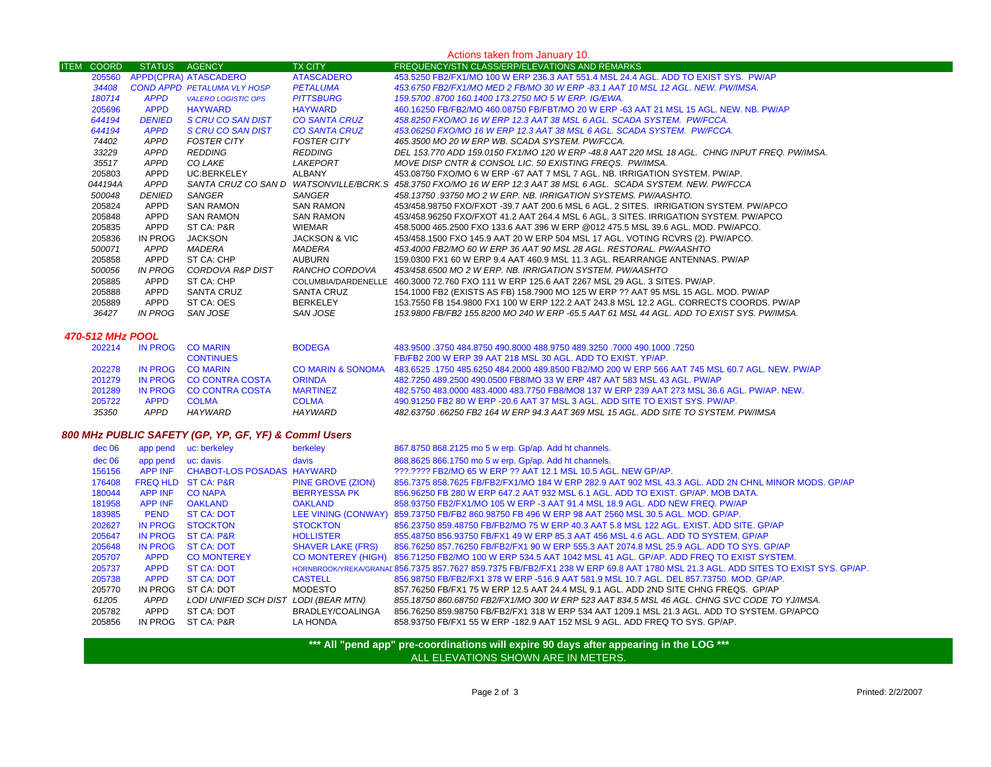| Actions taken from January 10. |               |                                    |                          |                                                                                                                   |
|--------------------------------|---------------|------------------------------------|--------------------------|-------------------------------------------------------------------------------------------------------------------|
| <b>ITEM</b><br><b>COORD</b>    | STATUS AGENCY |                                    | <b>TX CITY</b>           | FREQUENCY/STN CLASS/ERP/ELEVATIONS AND REMARKS                                                                    |
| 205560                         |               | APPD(CPRA) ATASCADERO              | <b>ATASCADERO</b>        | 453,5250 FB2/FX1/MO 100 W ERP 236.3 AAT 551.4 MSL 24.4 AGL. ADD TO EXIST SYS. PW/AP                               |
| 34408                          |               | <b>COND APPD PETALUMA VLY HOSP</b> | <b>PETALUMA</b>          | 453.6750 FB2/FX1/MO MED 2 FB/MO 30 W ERP -83.1 AAT 10 MSL 12 AGL. NEW. PW/IMSA.                                   |
| 180714                         | <b>APPD</b>   | <b>VALERO LOGISTIC OPS</b>         | <b>PITTSBURG</b>         | 159,5700,8700,160,1400,173,2750,MO 5 W ERP, IG/EWA.                                                               |
| 205696                         | <b>APPD</b>   | <b>HAYWARD</b>                     | <b>HAYWARD</b>           | 460.16250 FB/FB2/MO 460.08750 FB/FBT/MO 20 W ERP -63 AAT 21 MSL 15 AGL. NEW, NB, PW/AP                            |
| 644194                         | <b>DENIED</b> | S CRU CO SAN DIST                  | <b>CO SANTA CRUZ</b>     | 458.8250 FXO/MO 16 W ERP 12.3 AAT 38 MSL 6 AGL. SCADA SYSTEM. PW/FCCA.                                            |
| 644194                         | <b>APPD</b>   | S CRU CO SAN DIST                  | CO SANTA CRUZ            | 453.06250 FXO/MO 16 W ERP 12.3 AAT 38 MSL 6 AGL. SCADA SYSTEM. PW/FCCA.                                           |
| 74402                          | APPD          | FOSTER CITY                        | FOSTER CITY              | 465.3500 MO 20 W ERP WB. SCADA SYSTEM. PW/FCCA.                                                                   |
| 33229                          | APPD          | REDDING                            | REDDING                  | . DEL 153.770 ADD 159.0150 FX1/MO 120 W ERP -48.8 AAT 220 MSL 18 AGL.  CHNG INPUT FREO. PW/IMSA                   |
| 35517                          | APPD          | CO LAKE                            | LAKEPORT                 | MOVE DISP CNTR & CONSOL LIC. 50 EXISTING FREQS. PW/IMSA.                                                          |
| 205803                         | APPD          | UC:BERKELEY                        | ALBANY                   | 453.08750 FXO/MO 6 W ERP -67 AAT 7 MSL 7 AGL. NB. IRRIGATION SYSTEM, PW/AP.                                       |
| 044194A                        | APPD          |                                    |                          | SANTA CRUZ CO SAN D WATSONVILLE/BCRK.S 458.3750 FXO/MO 16 W ERP 12.3 AAT 38 MSL 6 AGL. SCADA SYSTEM. NEW. PW/FCCA |
| 500048                         | <b>DENIED</b> | SANGER                             | SANGER                   | 458.13750 .93750 MO 2 W ERP. NB. IRRIGATION SYSTEMS. PW/AASHTO.                                                   |
| 205824                         | APPD          | SAN RAMON                          | SAN RAMON                | 453/458.98750 FXO/FXOT -39.7 AAT 200.6 MSL 6 AGL. 2 SITES. IRRIGATION SYSTEM. PW/APCO                             |
| 205848                         | APPD          | SAN RAMON                          | SAN RAMON                | 453/458.96250 FXO/FXOT 41.2 AAT 264.4 MSL 6 AGL. 3 SITES. IRRIGATION SYSTEM. PW/APCO                              |
| 205835                         | APPD          | ST CA: P&R                         | WIEMAR                   | 458.5000 465.2500 FXO 133.6 AAT 396 W ERP @012 475.5 MSL 39.6 AGL. MOD. PW/APCO.                                  |
| 205836                         | IN PROG       | <b>JACKSON</b>                     | <b>JACKSON &amp; VIC</b> | 453/458.1500 FXO 145.9 AAT 20 W ERP 504 MSL 17 AGL. VOTING RCVRS (2). PW/APCO.                                    |
| 500071                         | APPD          | MADERA                             | MADERA                   | 453.4000 FB2/MO 60 W ERP 36 AAT 90 MSL 28 AGL. RESTORAL. PW/AASHTO                                                |
| 205858                         | APPD          | ST CA: CHP                         | AUBURN                   | 159,0300 FX1 60 W ERP 9.4 AAT 460.9 MSL 11.3 AGL. REARRANGE ANTENNAS, PW/AP                                       |
| 500056                         | IN PROG       | CORDOVA R&P DIST                   | RANCHO CORDOVA           | 453/458.6500 MO 2 W ERP. NB. IRRIGATION SYSTEM. PW/AASHTO                                                         |
| 205885                         | APPD          | ST CA: CHP                         | COLUMBIA/DARDENELLE      | 460.3000 72.760 FXO 111 W ERP 125.6 AAT 2267 MSL 29 AGL. 3 SITES. PW/AP.                                          |
| 205888                         | APPD          | SANTA CRUZ                         | SANTA CRUZ               | 154.1000 FB2 (EXISTS AS FB) 158.7900 MO 125 W ERP ?? AAT 95 MSL 15 AGL. MOD. PW/AP                                |
| 205889                         | APPD          | ST CA: OES                         | BERKELEY                 | 153.7550 FB 154.9800 FX1 100 W ERP 122.2 AAT 243.8 MSL 12.2 AGL. CORRECTS COORDS. PW/AP                           |
| 36427                          | IN PROG       | SAN JOSE                           | SAN JOSE                 | 153,9800 FB/FB2 155,8200 MO 240 W ERP -65.5 AAT 61 MSL 44 AGL. ADD TO EXIST SYS. PW/IMSA.                         |
|                                |               |                                    |                          |                                                                                                                   |

### *470-512 MHz POOL*

| 202214 | IN PROG     | <b>CO MARIN</b>         | <b>BODEGA</b>                | 483,9500 .3750 484,8750 490,8000 488,9750 489,3250 .7000 490,1000 .7250                         |
|--------|-------------|-------------------------|------------------------------|-------------------------------------------------------------------------------------------------|
|        |             | <b>CONTINUES</b>        |                              | FB/FB2 200 W ERP 39 AAT 218 MSL 30 AGL. ADD TO EXIST, YP/AP.                                    |
| 202278 | IN PROG     | <b>CO MARIN</b>         | <b>CO MARIN &amp; SONOMA</b> | 483,6525, 1750 485,6250 484,2000 489,8500 FB2/MO 200 W ERP 566 AAT 745 MSL 60.7 AGL, NEW, PW/AP |
| 201279 |             | IN PROG CO CONTRA COSTA | <b>ORINDA</b>                | 482.7250 489.2500 490.0500 FB8/MO 33 W ERP 487 AAT 583 MSL 43 AGL. PW/AP                        |
| 201289 |             | IN PROG CO CONTRA COSTA | <b>MARTINEZ</b>              | 482,5750 483,0000 483,4000 483,7750 FB8/MO8 137 W ERP 239 AAT 273 MSL 36.6 AGL, PW/AP, NEW,     |
| 205722 | <b>APPD</b> | <b>COLMA</b>            | <b>COLMA</b>                 | 490,91250 FB2 80 W ERP -20.6 AAT 37 MSL 3 AGL. ADD SITE TO EXIST SYS. PW/AP.                    |
| 35350  | <b>APPD</b> | HA YWARD                | <b>HAYWARD</b>               | 482.63750 .66250 FB2 164 W ERP 94.3 AAT 369 MSL 15 AGL. ADD SITE TO SYSTEM. PW/IMSA             |

## *800 MHz PUBLIC SAFETY (GP, YP, GF, YF) & Comml Users*

| dec 06 | app pend       | uc: berkeley               | berkeley                 | 867.8750 868.2125 mo 5 w erp. Gp/ap. Add ht channels.                                                                            |
|--------|----------------|----------------------------|--------------------------|----------------------------------------------------------------------------------------------------------------------------------|
| dec 06 | app pend       | uc: davis                  | davis                    | 868.8625 866.1750 mo 5 w erp. Gp/ap. Add ht channels.                                                                            |
| 156156 | <b>APP INF</b> | CHABOT-LOS POSADAS HAYWARD |                          | 222.2222 FB2/MO 65 W ERP 22 AAT 12.1 MSL 10.5 AGL. NEW GP/AP.                                                                    |
| 176408 |                | FREQ HLD ST CA: P&R        | PINE GROVE (ZION)        | 856.7375 858.7625 FB/FB2/FX1/MO 184 W ERP 282.9 AAT 902 MSL 43.3 AGL, ADD 2N CHNL MINOR MODS, GP/AP                              |
| 180044 | <b>APP INF</b> | <b>CO NAPA</b>             | <b>BERRYESSA PK</b>      | 856,96250 FB 280 W ERP 647.2 AAT 932 MSL 6.1 AGL, ADD TO EXIST, GP/AP, MOB DATA,                                                 |
| 181958 | <b>APP INF</b> | <b>OAKLAND</b>             | <b>OAKLAND</b>           | 858.93750 FB2/FX1/MO 105 W ERP -3 AAT 91.4 MSL 18.9 AGL. ADD NEW FREQ. PW/AP                                                     |
| 183985 | <b>PEND</b>    | ST CA: DOT                 |                          | LEE VINING (CONWAY) 859.73750 FB/FB2 860.98750 FB 496 W ERP 98 AAT 2560 MSL 30.5 AGL. MOD. GP/AP.                                |
| 202627 | <b>IN PROG</b> | <b>STOCKTON</b>            | <b>STOCKTON</b>          | 856.23750 859.48750 FB/FB2/MO 75 W ERP 40.3 AAT 5.8 MSL 122 AGL. EXIST. ADD SITE. GP/AP                                          |
| 205647 | <b>IN PROG</b> | <b>ST CA: P&amp;R</b>      | <b>HOLLISTER</b>         | 855.48750 856.93750 FB/FX1 49 W ERP 85.3 AAT 456 MSL 4.6 AGL, ADD TO SYSTEM, GP/AP                                               |
| 205648 | <b>IN PROG</b> | <b>ST CA: DOT</b>          | <b>SHAVER LAKE (FRS)</b> | 856.76250 857.76250 FB/FB2/FX1 90 W ERP 555.3 AAT 2074.8 MSL 25.9 AGL. ADD TO SYS. GP/AP                                         |
| 205707 | <b>APPD</b>    | <b>CO MONTEREY</b>         |                          | CO MONTEREY (HIGH) 856.71250 FB2/MO 100 W ERP 534.5 AAT 1042 MSL 41 AGL. GP/AP. ADD FREQ TO EXIST SYSTEM.                        |
| 205737 | <b>APPD</b>    | <b>ST CA: DOT</b>          |                          | HORNBROOKYREKA/GRANAI 856.7375 857.7627 859.7375 FB/FB2/FX1 238 W ERP 69.8 AAT 1780 MSL 21.3 AGL. ADD SITES TO EXIST SYS. GP/AP. |
| 205738 | <b>APPD</b>    | <b>ST CA: DOT</b>          | <b>CASTELL</b>           | 856.98750 FB/FB2/FX1 378 W ERP -516.9 AAT 581.9 MSL 10.7 AGL. DEL 857.73750. MOD. GP/AP.                                         |
| 205770 | IN PROG        | ST CA: DOT                 | MODESTO                  | 857.76250 FB/FX1 75 W ERP 12.5 AAT 24.4 MSL 9.1 AGL. ADD 2ND SITE CHNG FREQS. GP/AP                                              |
| 61205  | APPD           | LODI UNIFIED SCH DIST      | LODI (BEAR MTN)          | 855.18750 860.68750 FB2/FX1/MO 300 W ERP 523 AAT 834.5 MSL 46 AGL. CHNG SVC CODE TO YJ/IMSA.                                     |
| 205782 | APPD           | ST CA: DOT                 | BRADLEY/COALINGA         | 856.76250 859.98750 FB/FB2/FX1 318 W ERP 534 AAT 1209.1 MSL 21.3 AGL, ADD TO SYSTEM, GP/APCO                                     |
| 205856 | IN PROG        | ST CA: P&R                 | LA HONDA                 | 858.93750 FB/FX1 55 W ERP -182.9 AAT 152 MSL 9 AGL. ADD FREQ TO SYS. GP/AP.                                                      |
|        |                |                            |                          |                                                                                                                                  |

**\*\*\* All "pend app" pre-coordinations will expire 90 days after appearing in the LOG \*\*\*** ALL ELEVATIONS SHOWN ARE IN METERS.